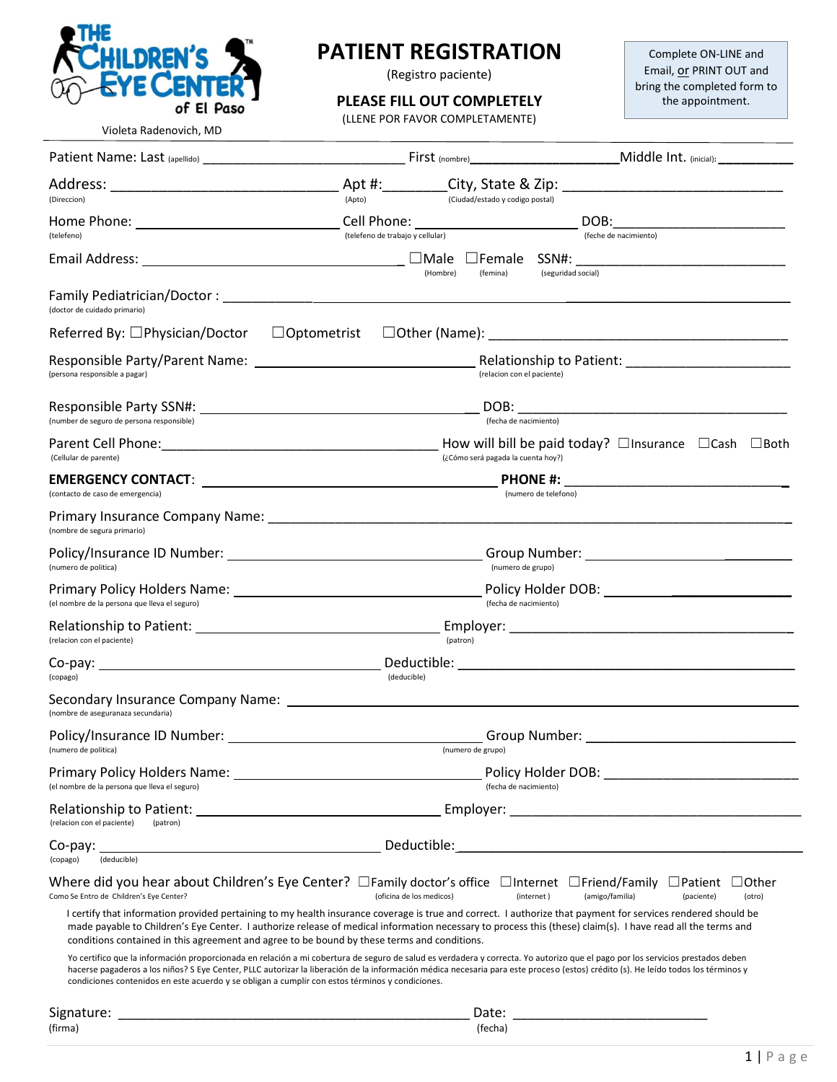

Violeta Radenovich, MD

### **PATIENT REGISTRATION**

(Registro paciente)

#### **PLEASE FILL OUT COMPLETELY**

(LLENE POR FAVOR COMPLETAMENTE)

Complete ON-LINE and Email, or PRINT OUT and bring the completed form to the appointment.

| (Direccion)                                                                                     | (Apto)<br>(Ciudad/estado y codigo postal)                                                                                                                                                                                                                                                                                                                           |                                                                                                                                                                                                                                |  |  |  |  |
|-------------------------------------------------------------------------------------------------|---------------------------------------------------------------------------------------------------------------------------------------------------------------------------------------------------------------------------------------------------------------------------------------------------------------------------------------------------------------------|--------------------------------------------------------------------------------------------------------------------------------------------------------------------------------------------------------------------------------|--|--|--|--|
| (telefeno)                                                                                      | Cell Phone: <u>contract and a series</u><br>(telefeno de trabajo y cellular)                                                                                                                                                                                                                                                                                        | (feche de nacimiento)                                                                                                                                                                                                          |  |  |  |  |
|                                                                                                 | (Hombre)<br>(femina)                                                                                                                                                                                                                                                                                                                                                | (seguridad social)                                                                                                                                                                                                             |  |  |  |  |
| (doctor de cuidado primario)                                                                    |                                                                                                                                                                                                                                                                                                                                                                     |                                                                                                                                                                                                                                |  |  |  |  |
| Referred By: □Physician/Doctor                                                                  |                                                                                                                                                                                                                                                                                                                                                                     |                                                                                                                                                                                                                                |  |  |  |  |
| (persona responsible a pagar)                                                                   | (relacion con el paciente)                                                                                                                                                                                                                                                                                                                                          |                                                                                                                                                                                                                                |  |  |  |  |
| (number de seguro de persona responsible)                                                       | (fecha de nacimiento)                                                                                                                                                                                                                                                                                                                                               |                                                                                                                                                                                                                                |  |  |  |  |
| (Cellular de parente)                                                                           | How will bill be paid today? $\Box$ Insurance $\Box$ Cash $\Box$ Both<br>(¿Cómo será pagada la cuenta hoy?)                                                                                                                                                                                                                                                         |                                                                                                                                                                                                                                |  |  |  |  |
| (contacto de caso de emergencia)                                                                | (numero de telefono)                                                                                                                                                                                                                                                                                                                                                |                                                                                                                                                                                                                                |  |  |  |  |
| (nombre de segura primario)                                                                     |                                                                                                                                                                                                                                                                                                                                                                     |                                                                                                                                                                                                                                |  |  |  |  |
| (numero de politica)                                                                            | (numero de grupo)                                                                                                                                                                                                                                                                                                                                                   |                                                                                                                                                                                                                                |  |  |  |  |
| (el nombre de la persona que lleva el seguro)                                                   | (fecha de nacimiento)                                                                                                                                                                                                                                                                                                                                               |                                                                                                                                                                                                                                |  |  |  |  |
| (relacion con el paciente)                                                                      | (patron)                                                                                                                                                                                                                                                                                                                                                            |                                                                                                                                                                                                                                |  |  |  |  |
| (copago)                                                                                        | (deducible)                                                                                                                                                                                                                                                                                                                                                         |                                                                                                                                                                                                                                |  |  |  |  |
| (nombre de aseguranaza secundaria)                                                              |                                                                                                                                                                                                                                                                                                                                                                     |                                                                                                                                                                                                                                |  |  |  |  |
| (numero de politica)                                                                            | (numero de grupo)                                                                                                                                                                                                                                                                                                                                                   |                                                                                                                                                                                                                                |  |  |  |  |
| (el nombre de la persona que lleva el seguro)                                                   | (fecha de nacimiento)                                                                                                                                                                                                                                                                                                                                               | Policy Holder DOB: Note and the state of the state of the state of the state of the state of the state of the state of the state of the state of the state of the state of the state of the state of the state of the state of |  |  |  |  |
| (relacion con el paciente)<br>(patron)                                                          |                                                                                                                                                                                                                                                                                                                                                                     |                                                                                                                                                                                                                                |  |  |  |  |
| $Co$ -pay:<br>(copago)<br>(deducible)                                                           |                                                                                                                                                                                                                                                                                                                                                                     |                                                                                                                                                                                                                                |  |  |  |  |
| Como Se Entro de Children's Eye Center?                                                         | (oficina de los medicos)                                                                                                                                                                                                                                                                                                                                            | Where did you hear about Children's Eye Center? $\Box$ Family doctor's office $\Box$ Internet $\Box$ Friend/Family $\Box$ Patient $\Box$ Other<br>(amigo/familia)<br>(internet)<br>(paciente)<br>(otro)                        |  |  |  |  |
| conditions contained in this agreement and agree to be bound by these terms and conditions.     | I certify that information provided pertaining to my health insurance coverage is true and correct. I authorize that payment for services rendered should be<br>made payable to Children's Eye Center. I authorize release of medical information necessary to process this (these) claim(s). I have read all the terms and                                         |                                                                                                                                                                                                                                |  |  |  |  |
| condiciones contenidos en este acuerdo y se obligan a cumplir con estos términos y condiciones. | Yo certifico que la información proporcionada en relación a mi cobertura de seguro de salud es verdadera y correcta. Yo autorizo que el pago por los servicios prestados deben<br>hacerse pagaderos a los niños? S Eye Center, PLLC autorizar la liberación de la información médica necesaria para este proceso (estos) crédito (s). He leído todos los términos y |                                                                                                                                                                                                                                |  |  |  |  |
|                                                                                                 |                                                                                                                                                                                                                                                                                                                                                                     |                                                                                                                                                                                                                                |  |  |  |  |
| (firma)                                                                                         | (fecha)                                                                                                                                                                                                                                                                                                                                                             |                                                                                                                                                                                                                                |  |  |  |  |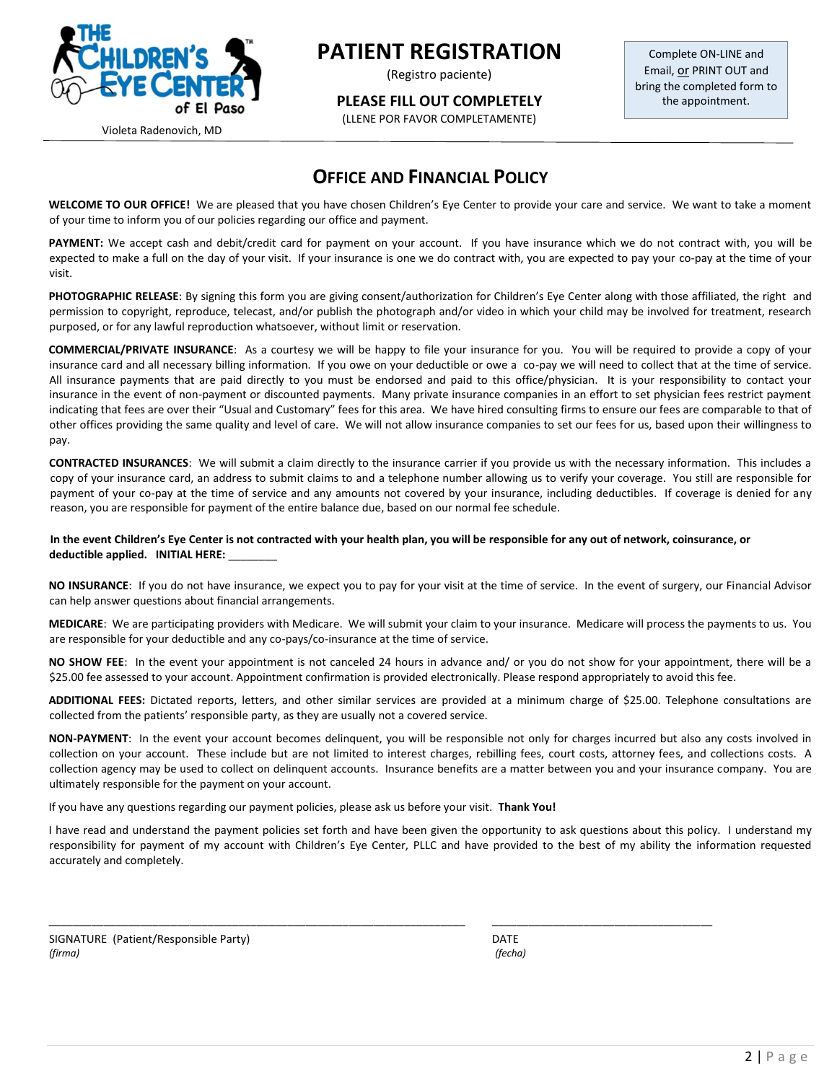

(Registro paciente)

**PLEASE FILL OUT COMPLETELY**

(LLENE POR FAVOR COMPLETAMENTE)

Complete ON-LINE and Email, or PRINT OUT and bring the completed form to the appointment.

Violeta Radenovich, MD

### **OFFICE AND FINANCIAL POLICY**

**WELCOME TO OUR OFFICE!** We are pleased that you have chosen Children's Eye Center to provide your care and service. We want to take a moment of your time to inform you of our policies regarding our office and payment.

**PAYMENT:** We accept cash and debit/credit card for payment on your account. If you have insurance which we do not contract with, you will be expected to make a full on the day of your visit. If your insurance is one we do contract with, you are expected to pay your co-pay at the time of your visit.

**PHOTOGRAPHIC RELEASE**: By signing this form you are giving consent/authorization for Children's Eye Center along with those affiliated, the right and permission to copyright, reproduce, telecast, and/or publish the photograph and/or video in which your child may be involved for treatment, research purposed, or for any lawful reproduction whatsoever, without limit or reservation.

**COMMERCIAL/PRIVATE INSURANCE**: As a courtesy we will be happy to file your insurance for you. You will be required to provide a copy of your insurance card and all necessary billing information. If you owe on your deductible or owe a co-pay we will need to collect that at the time of service. All insurance payments that are paid directly to you must be endorsed and paid to this office/physician. It is your responsibility to contact your insurance in the event of non-payment or discounted payments. Many private insurance companies in an effort to set physician fees restrict payment indicating that fees are over their "Usual and Customary" fees for this area. We have hired consulting firms to ensure our fees are comparable to that of other offices providing the same quality and level of care. We will not allow insurance companies to set our fees for us, based upon their willingness to pay.

**CONTRACTED INSURANCES**: We will submit a claim directly to the insurance carrier if you provide us with the necessary information. This includes a copy of your insurance card, an address to submit claims to and a telephone number allowing us to verify your coverage. You still are responsible for payment of your co-pay at the time of service and any amounts not covered by your insurance, including deductibles. If coverage is denied for any reason, you are responsible for payment of the entire balance due, based on our normal fee schedule.

#### **In the event Children's Eye Center is not contracted with your health plan, you will be responsible for any out of network, coinsurance, or deductible applied. INITIAL HERE:** \_\_\_\_\_\_\_\_

**NO INSURANCE**: If you do not have insurance, we expect you to pay for your visit at the time of service. In the event of surgery, our Financial Advisor can help answer questions about financial arrangements.

**MEDICARE**: We are participating providers with Medicare. We will submit your claim to your insurance. Medicare will process the payments to us. You are responsible for your deductible and any co-pays/co-insurance at the time of service.

**NO SHOW FEE**: In the event your appointment is not canceled 24 hours in advance and/ or you do not show for your appointment, there will be a \$25.00 fee assessed to your account. Appointment confirmation is provided electronically. Please respond appropriately to avoid this fee.

**ADDITIONAL FEES:** Dictated reports, letters, and other similar services are provided at a minimum charge of \$25.00. Telephone consultations are collected from the patients' responsible party, as they are usually not a covered service.

**NON-PAYMENT**: In the event your account becomes delinquent, you will be responsible not only for charges incurred but also any costs involved in collection on your account. These include but are not limited to interest charges, rebilling fees, court costs, attorney fees, and collections costs. A collection agency may be used to collect on delinquent accounts. Insurance benefits are a matter between you and your insurance company. You are ultimately responsible for the payment on your account.

If you have any questions regarding our payment policies, please ask us before your visit. **Thank You!**

I have read and understand the payment policies set forth and have been given the opportunity to ask questions about this policy. I understand my responsibility for payment of my account with Children's Eye Center, PLLC and have provided to the best of my ability the information requested accurately and completely.

\_\_\_\_\_\_\_\_\_\_\_\_\_\_\_\_\_\_\_\_\_\_\_\_\_\_\_\_\_\_\_\_\_\_\_\_\_\_\_\_\_\_\_\_\_\_\_\_\_\_\_\_\_\_\_\_\_\_\_\_\_\_\_\_\_\_\_\_ \_\_\_\_\_\_\_\_\_\_\_\_\_\_\_\_\_\_\_\_\_\_\_\_\_\_\_\_\_\_\_\_\_\_\_\_

SIGNATURE (Patient/Responsible Party) DATE *(firma) (fecha)*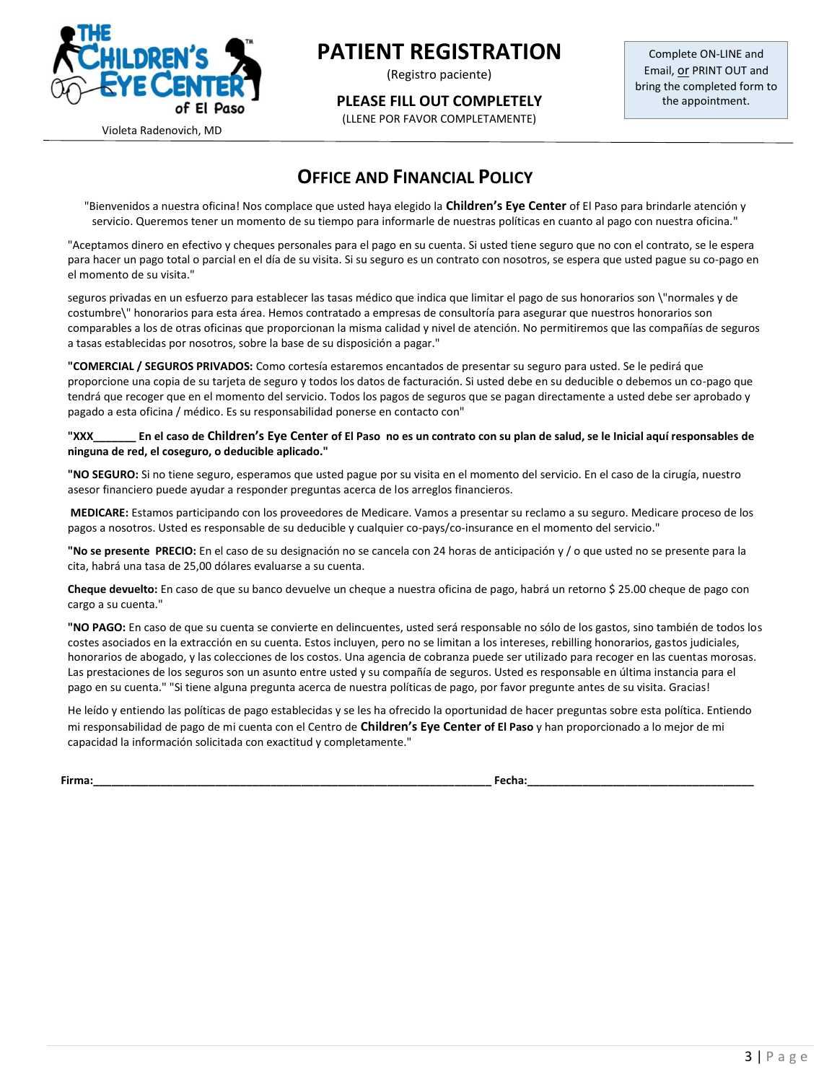

(Registro paciente)

**PLEASE FILL OUT COMPLETELY**

(LLENE POR FAVOR COMPLETAMENTE)

Complete ON-LINE and Email, or PRINT OUT and bring the completed form to the appointment.

Violeta Radenovich, MD

### **OFFICE AND FINANCIAL POLICY**

"Bienvenidos a nuestra oficina! Nos complace que usted haya elegido la **Children's Eye Center** of El Paso para brindarle atención y servicio. Queremos tener un momento de su tiempo para informarle de nuestras políticas en cuanto al pago con nuestra oficina."

"Aceptamos dinero en efectivo y cheques personales para el pago en su cuenta. Si usted tiene seguro que no con el contrato, se le espera para hacer un pago total o parcial en el día de su visita. Si su seguro es un contrato con nosotros, se espera que usted pague su co-pago en el momento de su visita."

seguros privadas en un esfuerzo para establecer las tasas médico que indica que limitar el pago de sus honorarios son \"normales y de costumbre\" honorarios para esta área. Hemos contratado a empresas de consultoría para asegurar que nuestros honorarios son comparables a los de otras oficinas que proporcionan la misma calidad y nivel de atención. No permitiremos que las compañías de seguros a tasas establecidas por nosotros, sobre la base de su disposición a pagar."

**"COMERCIAL / SEGUROS PRIVADOS:** Como cortesía estaremos encantados de presentar su seguro para usted. Se le pedirá que proporcione una copia de su tarjeta de seguro y todos los datos de facturación. Si usted debe en su deducible o debemos un co-pago que tendrá que recoger que en el momento del servicio. Todos los pagos de seguros que se pagan directamente a usted debe ser aprobado y pagado a esta oficina / médico. Es su responsabilidad ponerse en contacto con"

**"XXX\_\_\_\_\_\_\_ En el caso de Children's Eye Center of El Paso no es un contrato con su plan de salud, se le Inicial aquí responsables de ninguna de red, el coseguro, o deducible aplicado."**

**"NO SEGURO:** Si no tiene seguro, esperamos que usted pague por su visita en el momento del servicio. En el caso de la cirugía, nuestro asesor financiero puede ayudar a responder preguntas acerca de los arreglos financieros.

**MEDICARE:** Estamos participando con los proveedores de Medicare. Vamos a presentar su reclamo a su seguro. Medicare proceso de los pagos a nosotros. Usted es responsable de su deducible y cualquier co-pays/co-insurance en el momento del servicio."

**"No se presente PRECIO:** En el caso de su designación no se cancela con 24 horas de anticipación y / o que usted no se presente para la cita, habrá una tasa de 25,00 dólares evaluarse a su cuenta.

**Cheque devuelto:** En caso de que su banco devuelve un cheque a nuestra oficina de pago, habrá un retorno \$ 25.00 cheque de pago con cargo a su cuenta."

**"NO PAGO:** En caso de que su cuenta se convierte en delincuentes, usted será responsable no sólo de los gastos, sino también de todos los costes asociados en la extracción en su cuenta. Estos incluyen, pero no se limitan a los intereses, rebilling honorarios, gastos judiciales, honorarios de abogado, y las colecciones de los costos. Una agencia de cobranza puede ser utilizado para recoger en las cuentas morosas. Las prestaciones de los seguros son un asunto entre usted y su compañía de seguros. Usted es responsable en última instancia para el pago en su cuenta." "Si tiene alguna pregunta acerca de nuestra políticas de pago, por favor pregunte antes de su visita. Gracias!

He leído y entiendo las políticas de pago establecidas y se les ha ofrecido la oportunidad de hacer preguntas sobre esta política. Entiendo mi responsabilidad de pago de mi cuenta con el Centro de **Children's Eye Center of El Paso** y han proporcionado a lo mejor de mi capacidad la información solicitada con exactitud y completamente."

**Firma:\_\_\_\_\_\_\_\_\_\_\_\_\_\_\_\_\_\_\_\_\_\_\_\_\_\_\_\_\_\_\_\_\_\_\_\_\_\_\_\_\_\_\_\_\_\_\_\_\_\_\_\_\_\_\_\_\_\_\_\_\_\_\_\_\_ Fecha:\_\_\_\_\_\_\_\_\_\_\_\_\_\_\_\_\_\_\_\_\_\_\_\_\_\_\_\_\_\_\_\_\_\_\_\_\_**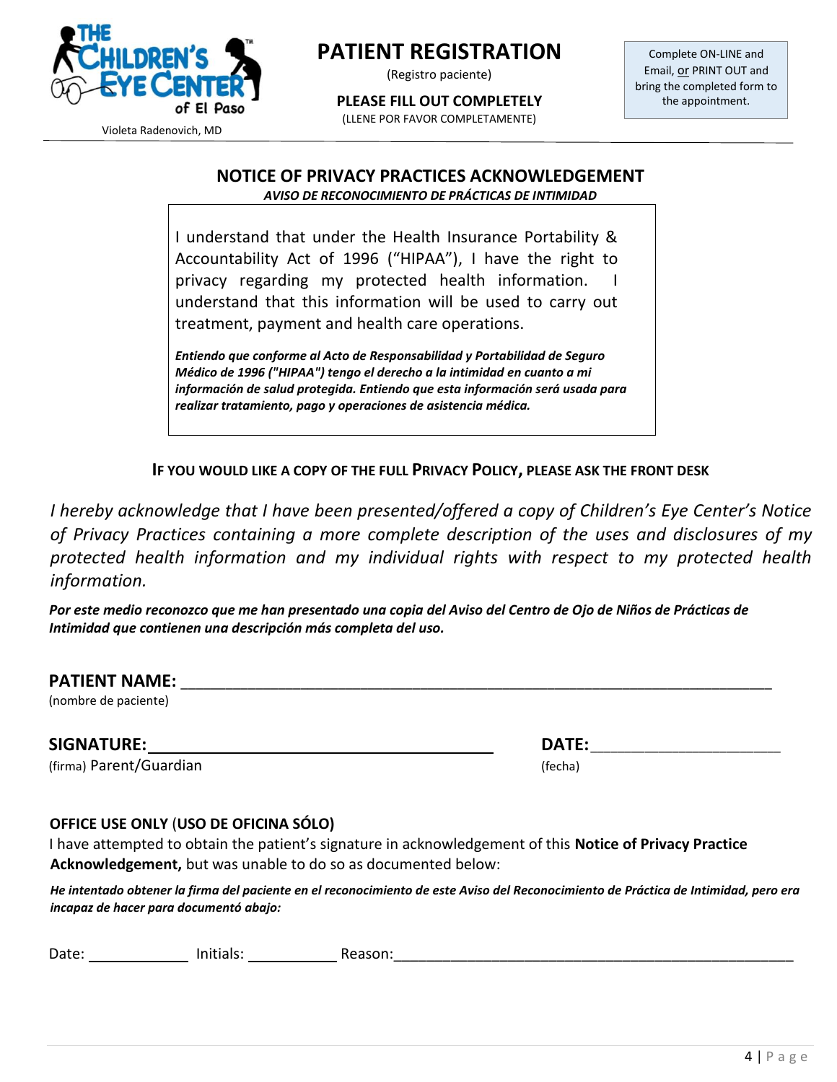

(Registro paciente)

**PLEASE FILL OUT COMPLETELY**

(LLENE POR FAVOR COMPLETAMENTE)

Complete ON-LINE and Email, or PRINT OUT and bring the completed form to the appointment.

Violeta Radenovich, MD

### **NOTICE OF PRIVACY PRACTICES ACKNOWLEDGEMENT**

*AVISO DE RECONOCIMIENTO DE PRÁCTICAS DE INTIMIDAD*

I understand that under the Health Insurance Portability & Accountability Act of 1996 ("HIPAA"), I have the right to privacy regarding my protected health information. understand that this information will be used to carry out treatment, payment and health care operations.

*Entiendo que conforme al Acto de Responsabilidad y Portabilidad de Seguro Médico de 1996 ("HIPAA") tengo el derecho a la intimidad en cuanto a mi información de salud protegida. Entiendo que esta información será usada para realizar tratamiento, pago y operaciones de asistencia médica.*

**IF YOU WOULD LIKE A COPY OF THE FULL PRIVACY POLICY, PLEASE ASK THE FRONT DESK**

*I hereby acknowledge that I have been presented/offered a copy of Children's Eye Center's Notice of Privacy Practices containing a more complete description of the uses and disclosures of my protected health information and my individual rights with respect to my protected health information.*

*Por este medio reconozco que me han presentado una copia del Aviso del Centro de Ojo de Niños de Prácticas de Intimidad que contienen una descripción más completa del uso.*

(nombre de paciente)

**SIGNATURE: DATE:**\_\_\_\_\_\_\_\_\_\_\_\_\_\_\_\_\_\_\_\_\_\_\_\_\_\_\_\_

(firma) Parent/Guardian (fecha)

#### **OFFICE USE ONLY** (**USO DE OFICINA SÓLO)**

I have attempted to obtain the patient's signature in acknowledgement of this **Notice of Privacy Practice Acknowledgement,** but was unable to do so as documented below:

*He intentado obtener la firma del paciente en el reconocimiento de este Aviso del Reconocimiento de Práctica de Intimidad, pero era incapaz de hacer para documentó abajo:*

Date: Neason: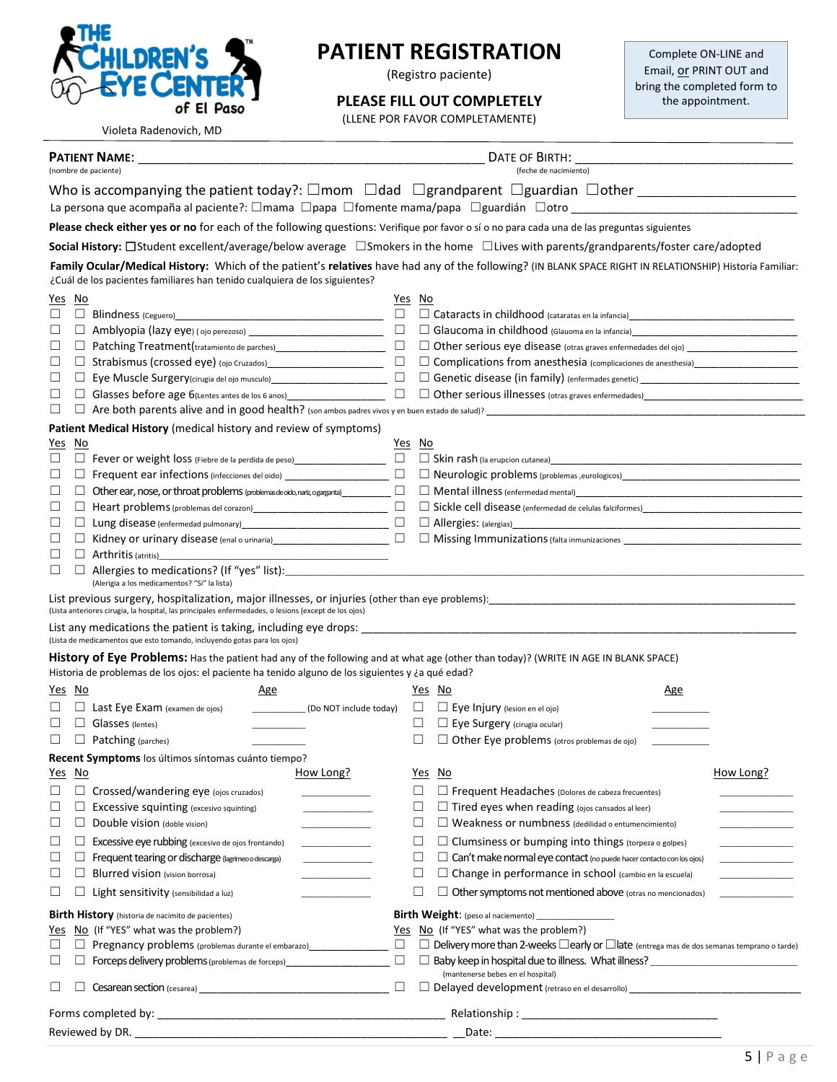

Violeta Radenovich, MD

### **PATIENT REGISTRATION**

(Registro paciente)

#### **PLEASE FILL OUT COMPLETELY**

(LLENE POR FAVOR COMPLETAMENTE)

Complete ON-LINE and Email, or PRINT OUT and bring the completed form to the appointment.

| (nombre de paciente)                                                                                                                                     |                                                                                                                                                                                                                                                                                  |                                                                                                                                                                                  |                        |                  | (feche de nacimiento) |                                                                                                                                                                                                                                                                                                                                                                       |            |           |  |
|----------------------------------------------------------------------------------------------------------------------------------------------------------|----------------------------------------------------------------------------------------------------------------------------------------------------------------------------------------------------------------------------------------------------------------------------------|----------------------------------------------------------------------------------------------------------------------------------------------------------------------------------|------------------------|------------------|-----------------------|-----------------------------------------------------------------------------------------------------------------------------------------------------------------------------------------------------------------------------------------------------------------------------------------------------------------------------------------------------------------------|------------|-----------|--|
|                                                                                                                                                          |                                                                                                                                                                                                                                                                                  |                                                                                                                                                                                  |                        |                  |                       | La persona que acompaña al paciente?: □mama □papa □fomente mama/papa □guardián □otro __________________________                                                                                                                                                                                                                                                       |            |           |  |
|                                                                                                                                                          |                                                                                                                                                                                                                                                                                  |                                                                                                                                                                                  |                        |                  |                       |                                                                                                                                                                                                                                                                                                                                                                       |            |           |  |
|                                                                                                                                                          | Please check either yes or no for each of the following questions: Verifique por favor o sí o no para cada una de las preguntas siguientes<br>Social History: □Student excellent/average/below average □Smokers in the home □Lives with parents/grandparents/foster care/adopted |                                                                                                                                                                                  |                        |                  |                       |                                                                                                                                                                                                                                                                                                                                                                       |            |           |  |
| Family Ocular/Medical History: Which of the patient's relatives have had any of the following? (IN BLANK SPACE RIGHT IN RELATIONSHIP) Historia Familiar: |                                                                                                                                                                                                                                                                                  |                                                                                                                                                                                  |                        |                  |                       |                                                                                                                                                                                                                                                                                                                                                                       |            |           |  |
|                                                                                                                                                          |                                                                                                                                                                                                                                                                                  | ¿Cuál de los pacientes familiares han tenido cualquiera de los siguientes?                                                                                                       |                        |                  |                       |                                                                                                                                                                                                                                                                                                                                                                       |            |           |  |
| Yes No<br>□                                                                                                                                              |                                                                                                                                                                                                                                                                                  |                                                                                                                                                                                  |                        | Yes No<br>$\Box$ |                       |                                                                                                                                                                                                                                                                                                                                                                       |            |           |  |
| ⊔                                                                                                                                                        |                                                                                                                                                                                                                                                                                  |                                                                                                                                                                                  |                        | $\Box$           |                       | Cataracts in childhood (cataratas en la infancia)<br><u>Dependence</u><br>Cataracts in childhood (cataratas en la infancia)<br>2008<br>□ Glaucoma in childhood (Glauoma en la infancia)<br>□ Glaucoma in childhood (Glauoma en la infancia)                                                                                                                           |            |           |  |
| $\Box$                                                                                                                                                   |                                                                                                                                                                                                                                                                                  | D Patching Treatment(tratamiento de parches)<br><u>D</u> Patching Treatment(tratamiento de parches)<br>1                                                                         |                        | $\Box$           |                       | □ Other serious eye disease (otras graves enfermedades del ojo) _________________                                                                                                                                                                                                                                                                                     |            |           |  |
| $\Box$                                                                                                                                                   |                                                                                                                                                                                                                                                                                  | □ Strabismus (crossed eye) (ojo Cruzados) ______________________                                                                                                                 |                        | $\Box$           |                       | □ Complications from anesthesia (complicaciones de anesthesia)<br>□ Complications from anesthesia (complicaciones de anesthesia)                                                                                                                                                                                                                                      |            |           |  |
| ⊔                                                                                                                                                        |                                                                                                                                                                                                                                                                                  | □ Eye Muscle Surgery(cirugia del ojo musculo) ___________________________                                                                                                        |                        | $\Box$           |                       |                                                                                                                                                                                                                                                                                                                                                                       |            |           |  |
| ⊔                                                                                                                                                        |                                                                                                                                                                                                                                                                                  | □ Glasses before age 6(Lentes antes de los 6 anos)____________________                                                                                                           |                        | $\Box$           |                       |                                                                                                                                                                                                                                                                                                                                                                       |            |           |  |
| $\Box$                                                                                                                                                   |                                                                                                                                                                                                                                                                                  |                                                                                                                                                                                  |                        |                  |                       |                                                                                                                                                                                                                                                                                                                                                                       |            |           |  |
|                                                                                                                                                          |                                                                                                                                                                                                                                                                                  | Patient Medical History (medical history and review of symptoms)                                                                                                                 |                        |                  |                       |                                                                                                                                                                                                                                                                                                                                                                       |            |           |  |
| Yes No                                                                                                                                                   |                                                                                                                                                                                                                                                                                  |                                                                                                                                                                                  |                        | Yes No           |                       |                                                                                                                                                                                                                                                                                                                                                                       |            |           |  |
| ⊔                                                                                                                                                        |                                                                                                                                                                                                                                                                                  | □ Fever or weight loss (Fiebre de la perdida de peso)_________________                                                                                                           |                        | $\Box$           |                       |                                                                                                                                                                                                                                                                                                                                                                       |            |           |  |
|                                                                                                                                                          |                                                                                                                                                                                                                                                                                  | Frequent ear infections (infecciones del oido) _________________________________                                                                                                 |                        | $\Box$           |                       |                                                                                                                                                                                                                                                                                                                                                                       |            |           |  |
| ⊔                                                                                                                                                        |                                                                                                                                                                                                                                                                                  | Other ear, nose, or throat problems (problemas de oido, nariz, o garganta) _____________                                                                                         |                        |                  |                       |                                                                                                                                                                                                                                                                                                                                                                       |            |           |  |
| ⊔                                                                                                                                                        |                                                                                                                                                                                                                                                                                  |                                                                                                                                                                                  |                        | $\Box$           |                       |                                                                                                                                                                                                                                                                                                                                                                       |            |           |  |
| ⊔                                                                                                                                                        |                                                                                                                                                                                                                                                                                  |                                                                                                                                                                                  |                        | $\Box$           |                       |                                                                                                                                                                                                                                                                                                                                                                       |            |           |  |
| ப                                                                                                                                                        |                                                                                                                                                                                                                                                                                  | □ Kidney or urinary disease (enal o urinaria)<br>□ Kidney or urinary disease (enal o urinaria)                                                                                   |                        | $\Box$           |                       |                                                                                                                                                                                                                                                                                                                                                                       |            |           |  |
| ⊔                                                                                                                                                        |                                                                                                                                                                                                                                                                                  | $\Box$ Arthritis (atritis)                                                                                                                                                       |                        |                  |                       |                                                                                                                                                                                                                                                                                                                                                                       |            |           |  |
| $\Box$                                                                                                                                                   | $\Box$                                                                                                                                                                                                                                                                           |                                                                                                                                                                                  |                        |                  |                       |                                                                                                                                                                                                                                                                                                                                                                       |            |           |  |
|                                                                                                                                                          |                                                                                                                                                                                                                                                                                  | (Lista anteriores cirugia, la hospital, las principales enfermedades, o lesions (except de los ojos)<br>(Lista de medicamentos que esto tomando, incluyendo gotas para los ojos) |                        |                  |                       | List previous surgery, hospitalization, major illnesses, or injuries (other than eye problems): encourance and containing the content of the content of the content of the content of the content of the content of the conten<br>History of Eye Problems: Has the patient had any of the following and at what age (other than today)? (WRITE IN AGE IN BLANK SPACE) |            |           |  |
|                                                                                                                                                          |                                                                                                                                                                                                                                                                                  | Historia de problemas de los ojos: el paciente ha tenido alguno de los siguientes y ¿a qué edad?                                                                                 |                        |                  |                       |                                                                                                                                                                                                                                                                                                                                                                       |            |           |  |
| Yes No                                                                                                                                                   |                                                                                                                                                                                                                                                                                  | <u>Age</u>                                                                                                                                                                       |                        |                  |                       | Yes No                                                                                                                                                                                                                                                                                                                                                                | <u>Age</u> |           |  |
|                                                                                                                                                          |                                                                                                                                                                                                                                                                                  | $\Box$ Last Eye Exam (examen de ojos)                                                                                                                                            | (Do NOT include today) |                  | ⊔                     | $\Box$ Eye Injury (lesion en el ojo)                                                                                                                                                                                                                                                                                                                                  |            |           |  |
|                                                                                                                                                          |                                                                                                                                                                                                                                                                                  | Glasses (lentes)                                                                                                                                                                 |                        |                  |                       | $\Box$ Eye Surgery (cirugia ocular)                                                                                                                                                                                                                                                                                                                                   |            |           |  |
| □                                                                                                                                                        |                                                                                                                                                                                                                                                                                  | $\Box$ Patching (parches)                                                                                                                                                        |                        |                  |                       | $\Box$ Other Eye problems (otros problemas de ojo)                                                                                                                                                                                                                                                                                                                    |            |           |  |
|                                                                                                                                                          |                                                                                                                                                                                                                                                                                  | Recent Symptoms los últimos síntomas cuánto tiempo?                                                                                                                              |                        |                  |                       |                                                                                                                                                                                                                                                                                                                                                                       |            |           |  |
| Yes No                                                                                                                                                   |                                                                                                                                                                                                                                                                                  |                                                                                                                                                                                  | How Long?              |                  | Yes                   | No                                                                                                                                                                                                                                                                                                                                                                    |            | How Long? |  |
| ⊔                                                                                                                                                        | □                                                                                                                                                                                                                                                                                | Crossed/wandering eye (ojos cruzados)                                                                                                                                            |                        |                  |                       | $\Box$ Frequent Headaches (Dolores de cabeza frecuentes)                                                                                                                                                                                                                                                                                                              |            |           |  |
|                                                                                                                                                          |                                                                                                                                                                                                                                                                                  | Excessive squinting (excesivo squinting)                                                                                                                                         |                        |                  |                       | $\Box$ Tired eyes when reading (ojos cansados al leer)                                                                                                                                                                                                                                                                                                                |            |           |  |
| $\Box$                                                                                                                                                   | ш                                                                                                                                                                                                                                                                                | Double vision (doble vision)                                                                                                                                                     |                        |                  | ⊔                     | $\Box$ Weakness or numbness (dedilidad o entumencimiento)                                                                                                                                                                                                                                                                                                             |            |           |  |
| $\Box$                                                                                                                                                   |                                                                                                                                                                                                                                                                                  | Excessive eye rubbing (excesivo de ojos frontando)                                                                                                                               |                        |                  | □                     | $\Box$ Clumsiness or bumping into things (torpeza o golpes)                                                                                                                                                                                                                                                                                                           |            |           |  |
| ⊔                                                                                                                                                        |                                                                                                                                                                                                                                                                                  | Frequent tearing or discharge (lagrimeo o descarga)                                                                                                                              |                        |                  | □                     | $\Box$ Can't make normal eye contact (no puede hacer contacto con los ojos)                                                                                                                                                                                                                                                                                           |            |           |  |
| $\Box$                                                                                                                                                   | П                                                                                                                                                                                                                                                                                | Blurred vision (vision borrosa)                                                                                                                                                  |                        |                  | □                     | □ Change in performance in school (cambio en la escuela)                                                                                                                                                                                                                                                                                                              |            |           |  |
| $\Box$                                                                                                                                                   |                                                                                                                                                                                                                                                                                  | Light sensitivity (sensibilidad a luz)                                                                                                                                           |                        |                  | □                     | $\Box$ Other symptoms not mentioned above (otras no mencionados)                                                                                                                                                                                                                                                                                                      |            |           |  |
|                                                                                                                                                          |                                                                                                                                                                                                                                                                                  |                                                                                                                                                                                  |                        |                  |                       |                                                                                                                                                                                                                                                                                                                                                                       |            |           |  |
|                                                                                                                                                          |                                                                                                                                                                                                                                                                                  | <b>Birth History</b> (historia de nacimito de pacientes)                                                                                                                         |                        |                  |                       | <b>Birth Weight:</b> (peso al naciemento)                                                                                                                                                                                                                                                                                                                             |            |           |  |
| Yes                                                                                                                                                      |                                                                                                                                                                                                                                                                                  | No (If "YES" what was the problem?)                                                                                                                                              |                        | Yes              |                       | No (If "YES" what was the problem?)                                                                                                                                                                                                                                                                                                                                   |            |           |  |
| □                                                                                                                                                        | $\Box$                                                                                                                                                                                                                                                                           | Pregnancy problems (problemas durante el embarazo)______________________________                                                                                                 |                        | $\Box$           |                       | $\Box$ Delivery more than 2-weeks $\Box$ early or $\Box$ late (entrega mas de dos semanas temprano o tarde)                                                                                                                                                                                                                                                           |            |           |  |
| $\Box$                                                                                                                                                   |                                                                                                                                                                                                                                                                                  | Forceps delivery problems (problemas de forceps)<br><u>Forceps</u> delivery problems (problemas de forceps)                                                                      |                        | $\Box$           |                       | □ Baby keep in hospital due to illness. What illness? __________________________<br>(mantenerse bebes en el hospital)                                                                                                                                                                                                                                                 |            |           |  |
| ⊔                                                                                                                                                        |                                                                                                                                                                                                                                                                                  |                                                                                                                                                                                  |                        | $\Box$           |                       | □ Delayed development (retraso en el desarrollo) _______________________________                                                                                                                                                                                                                                                                                      |            |           |  |
|                                                                                                                                                          |                                                                                                                                                                                                                                                                                  |                                                                                                                                                                                  |                        |                  |                       |                                                                                                                                                                                                                                                                                                                                                                       |            |           |  |
| Reviewed by DR.                                                                                                                                          |                                                                                                                                                                                                                                                                                  |                                                                                                                                                                                  |                        |                  | Date:                 |                                                                                                                                                                                                                                                                                                                                                                       |            |           |  |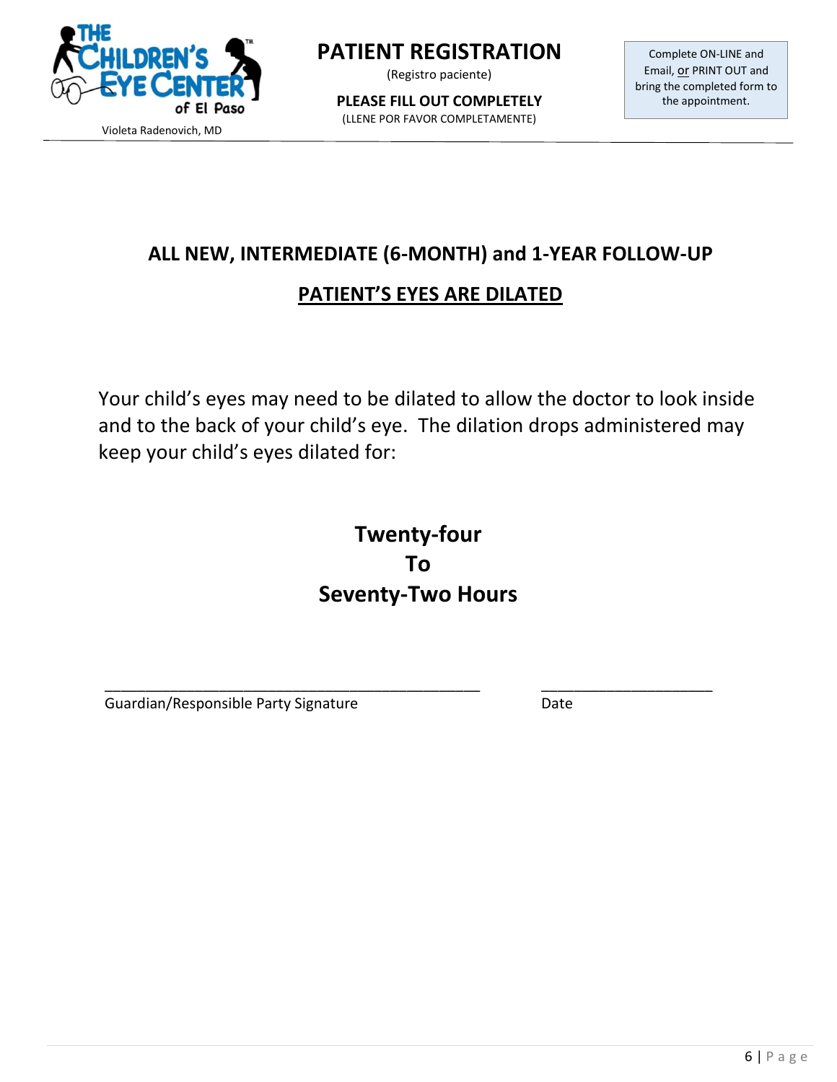

(Registro paciente)

**PLEASE FILL OUT COMPLETELY** (LLENE POR FAVOR COMPLETAMENTE)

Complete ON-LINE and Email, or PRINT OUT and bring the completed form to the appointment.

# **ALL NEW, INTERMEDIATE (6-MONTH) and 1-YEAR FOLLOW-UP**

## **PATIENT'S EYES ARE DILATED**

Your child's eyes may need to be dilated to allow the doctor to look inside and to the back of your child's eye. The dilation drops administered may keep your child's eyes dilated for:

# **Twenty-four To Seventy-Two Hours**

\_\_\_\_\_\_\_\_\_\_\_\_\_\_\_\_\_\_\_\_\_\_\_\_\_\_\_\_\_\_\_\_\_\_\_\_\_\_\_\_\_\_\_\_\_\_ \_\_\_\_\_\_\_\_\_\_\_\_\_\_\_\_\_\_\_\_\_ Guardian/Responsible Party Signature **Calculation** Date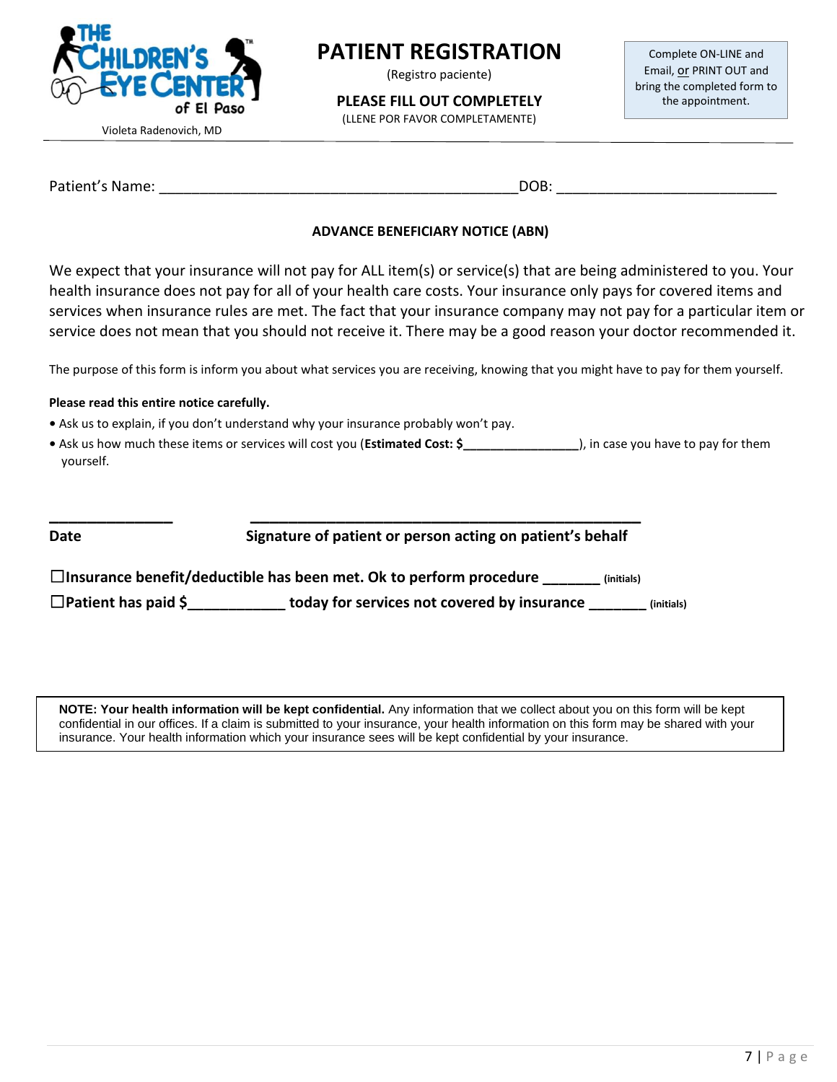

(Registro paciente)

**PLEASE FILL OUT COMPLETELY**

(LLENE POR FAVOR COMPLETAMENTE)

Complete ON-LINE and Email, or PRINT OUT and bring the completed form to the appointment.

Violeta Radenovich, MD

Patient's Name: \_\_\_\_\_\_\_\_\_\_\_\_\_\_\_\_\_\_\_\_\_\_\_\_\_\_\_\_\_\_\_\_\_\_\_\_\_\_\_\_\_\_\_\_DOB: \_\_\_\_\_\_\_\_\_\_\_\_\_\_\_\_\_\_\_\_\_\_\_\_\_\_\_

#### **ADVANCE BENEFICIARY NOTICE (ABN)**

We expect that your insurance will not pay for ALL item(s) or service(s) that are being administered to you. Your health insurance does not pay for all of your health care costs. Your insurance only pays for covered items and services when insurance rules are met. The fact that your insurance company may not pay for a particular item or service does not mean that you should not receive it. There may be a good reason your doctor recommended it.

The purpose of this form is inform you about what services you are receiving, knowing that you might have to pay for them yourself.

#### **Please read this entire notice carefully.**

- Ask us to explain, if you don't understand why your insurance probably won't pay.
- Ask us how much these items or services will cost you (**Estimated Cost: \$\_\_\_\_\_\_\_\_\_\_\_\_\_\_\_\_\_**), in case you have to pay for them yourself.

#### **Date Signature of patient or person acting on patient's behalf**

☐**Insurance benefit/deductible has been met. Ok to perform procedure \_\_\_\_\_\_\_ (initials)**

**\_\_\_\_\_\_\_\_\_\_\_\_\_ \_\_\_\_\_\_\_\_\_\_\_\_\_\_\_\_\_\_\_\_\_\_\_\_\_\_\_\_\_\_\_\_\_\_\_\_\_\_\_\_\_**

☐**Patient has paid \$\_\_\_\_\_\_\_\_\_\_\_\_ today for services not covered by insurance \_\_\_\_\_\_\_ (initials)**

**NOTE: Your health information will be kept confidential.** Any information that we collect about you on this form will be kept confidential in our offices. If a claim is submitted to your insurance, your health information on this form may be shared with your insurance. Your health information which your insurance sees will be kept confidential by your insurance.